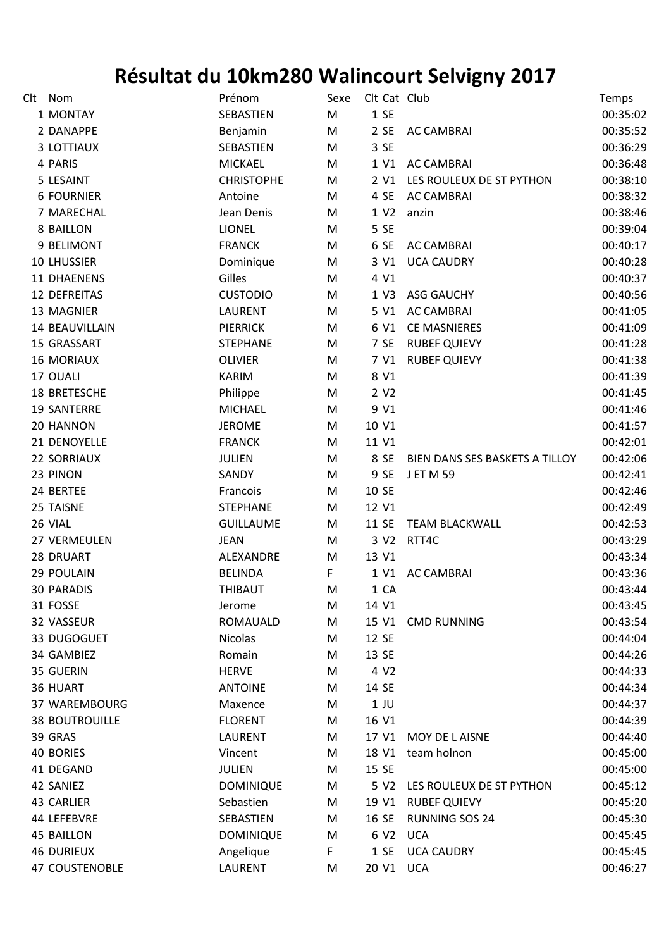## **Résultat du 10km280 Walincourt Selvigny 2017**

|  | Clt Nom               | Prénom            | Sexe | Clt Cat Club     |                                | Temps    |
|--|-----------------------|-------------------|------|------------------|--------------------------------|----------|
|  | 1 MONTAY              | SEBASTIEN         | M    | 1 SE             |                                | 00:35:02 |
|  | 2 DANAPPE             | Benjamin          | M    | 2 SE             | <b>AC CAMBRAI</b>              | 00:35:52 |
|  | 3 LOTTIAUX            | SEBASTIEN         | M    | 3 SE             |                                | 00:36:29 |
|  | 4 PARIS               | <b>MICKAEL</b>    | M    |                  | 1 V1 AC CAMBRAI                | 00:36:48 |
|  | 5 LESAINT             | <b>CHRISTOPHE</b> | M    |                  | 2 V1 LES ROULEUX DE ST PYTHON  | 00:38:10 |
|  | <b>6 FOURNIER</b>     | Antoine           | M    | 4 SE             | <b>AC CAMBRAI</b>              | 00:38:32 |
|  | 7 MARECHAL            | Jean Denis        | M    | 1 V <sub>2</sub> | anzin                          | 00:38:46 |
|  | 8 BAILLON             | <b>LIONEL</b>     | M    | 5 SE             |                                | 00:39:04 |
|  | 9 BELIMONT            | <b>FRANCK</b>     | M    | 6 SE             | <b>AC CAMBRAI</b>              | 00:40:17 |
|  | <b>10 LHUSSIER</b>    | Dominique         | M    | 3 V1             | <b>UCA CAUDRY</b>              | 00:40:28 |
|  | 11 DHAENENS           | Gilles            | M    | 4 V1             |                                | 00:40:37 |
|  | 12 DEFREITAS          | <b>CUSTODIO</b>   | M    | 1 V3             | ASG GAUCHY                     | 00:40:56 |
|  | 13 MAGNIER            | <b>LAURENT</b>    | M    | 5 V1             | <b>AC CAMBRAI</b>              | 00:41:05 |
|  | 14 BEAUVILLAIN        | <b>PIERRICK</b>   | M    | 6 V1             | <b>CE MASNIERES</b>            | 00:41:09 |
|  | 15 GRASSART           | <b>STEPHANE</b>   | M    | 7 SE             | <b>RUBEF QUIEVY</b>            | 00:41:28 |
|  | <b>16 MORIAUX</b>     | <b>OLIVIER</b>    | M    | 7 V1             | <b>RUBEF QUIEVY</b>            | 00:41:38 |
|  | 17 OUALI              | <b>KARIM</b>      | M    | 8 V1             |                                | 00:41:39 |
|  | 18 BRETESCHE          | Philippe          | M    | 2 V <sub>2</sub> |                                | 00:41:45 |
|  | <b>19 SANTERRE</b>    | <b>MICHAEL</b>    | M    | 9 V1             |                                | 00:41:46 |
|  | 20 HANNON             | <b>JEROME</b>     | M    | 10 V1            |                                | 00:41:57 |
|  | 21 DENOYELLE          | <b>FRANCK</b>     | M    | 11 V1            |                                | 00:42:01 |
|  | 22 SORRIAUX           | <b>JULIEN</b>     | M    | 8 SE             | BIEN DANS SES BASKETS A TILLOY | 00:42:06 |
|  | 23 PINON              | SANDY             | M    | 9 SE             | <b>JET M 59</b>                | 00:42:41 |
|  | 24 BERTEE             | Francois          | M    | 10 SE            |                                | 00:42:46 |
|  | 25 TAISNE             | STEPHANE          | M    | 12 V1            |                                | 00:42:49 |
|  | 26 VIAL               | <b>GUILLAUME</b>  | M    | 11 SE            | <b>TEAM BLACKWALL</b>          | 00:42:53 |
|  | 27 VERMEULEN          | <b>JEAN</b>       | M    | 3 V <sub>2</sub> | RTT4C                          | 00:43:29 |
|  | 28 DRUART             | ALEXANDRE         | M    | 13 V1            |                                | 00:43:34 |
|  | 29 POULAIN            | <b>BELINDA</b>    | F.   |                  | 1 V1 AC CAMBRAI                | 00:43:36 |
|  | <b>30 PARADIS</b>     | THIBAUT           | M    | 1 CA             |                                | 00:43:44 |
|  | 31 FOSSE              | Jerome            | M    | 14 V1            |                                | 00:43:45 |
|  | 32 VASSEUR            | <b>ROMAUALD</b>   | M    | 15 V1            | <b>CMD RUNNING</b>             | 00:43:54 |
|  | 33 DUGOGUET           | <b>Nicolas</b>    | M    | 12 SE            |                                | 00:44:04 |
|  | 34 GAMBIEZ            | Romain            | M    | 13 SE            |                                | 00:44:26 |
|  | 35 GUERIN             | <b>HERVE</b>      | M    | 4 V <sub>2</sub> |                                | 00:44:33 |
|  | 36 HUART              | <b>ANTOINE</b>    | M    | 14 SE            |                                | 00:44:34 |
|  | 37 WAREMBOURG         | Maxence           | M    | $1$ JU           |                                | 00:44:37 |
|  | <b>38 BOUTROUILLE</b> | <b>FLORENT</b>    | M    | 16 V1            |                                | 00:44:39 |
|  | 39 GRAS               | <b>LAURENT</b>    | M    | 17 V1            | MOY DE LAISNE                  | 00:44:40 |
|  | 40 BORIES             | Vincent           | M    | 18 V1            | team holnon                    | 00:45:00 |
|  | 41 DEGAND             | <b>JULIEN</b>     | M    | 15 SE            |                                | 00:45:00 |
|  | 42 SANIEZ             | <b>DOMINIQUE</b>  | M    | 5 V2             | LES ROULEUX DE ST PYTHON       | 00:45:12 |
|  | <b>43 CARLIER</b>     | Sebastien         | M    | 19 V1            | <b>RUBEF QUIEVY</b>            | 00:45:20 |
|  | 44 LEFEBVRE           | SEBASTIEN         | M    | 16 SE            | <b>RUNNING SOS 24</b>          | 00:45:30 |
|  | <b>45 BAILLON</b>     | <b>DOMINIQUE</b>  | M    | 6 V <sub>2</sub> | <b>UCA</b>                     | 00:45:45 |
|  | <b>46 DURIEUX</b>     | Angelique         | F    | 1SE              | <b>UCA CAUDRY</b>              | 00:45:45 |
|  | <b>47 COUSTENOBLE</b> | LAURENT           | M    | 20 V1 UCA        |                                | 00:46:27 |
|  |                       |                   |      |                  |                                |          |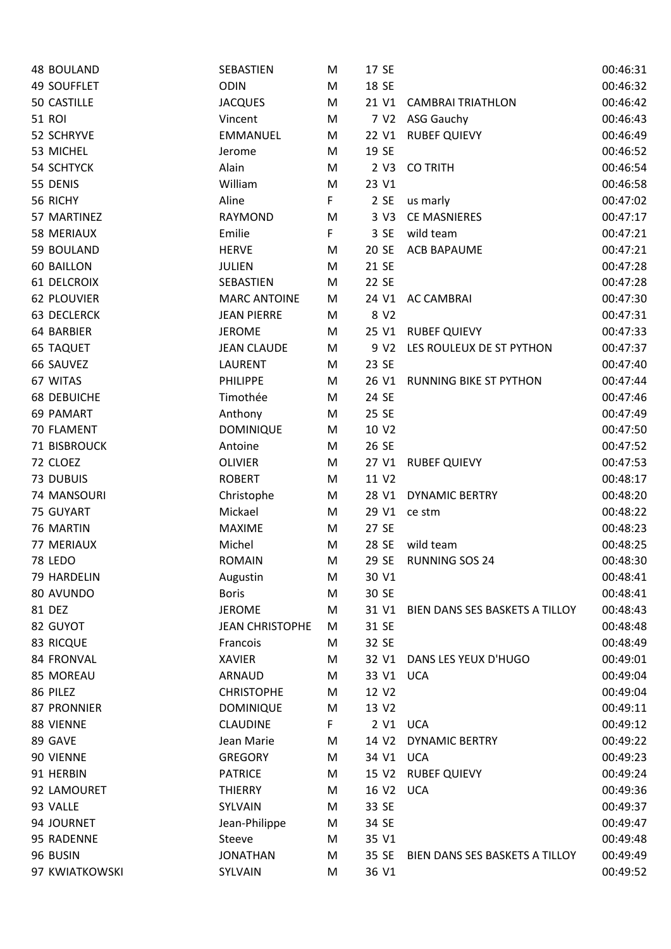| <b>48 BOULAND</b>  | SEBASTIEN              | M | 17 SE            |                                | 00:46:31 |
|--------------------|------------------------|---|------------------|--------------------------------|----------|
| <b>49 SOUFFLET</b> | <b>ODIN</b>            | M | 18 SE            |                                | 00:46:32 |
| 50 CASTILLE        | <b>JACQUES</b>         | M |                  | 21 V1 CAMBRAI TRIATHLON        | 00:46:42 |
| <b>51 ROI</b>      | Vincent                | M |                  | 7 V2 ASG Gauchy                | 00:46:43 |
| 52 SCHRYVE         | <b>EMMANUEL</b>        | M |                  | 22 V1 RUBEF QUIEVY             | 00:46:49 |
| 53 MICHEL          | Jerome                 | M | 19 SE            |                                | 00:46:52 |
| 54 SCHTYCK         | Alain                  | M |                  | 2 V3 CO TRITH                  | 00:46:54 |
| 55 DENIS           | William                | M | 23 V1            |                                | 00:46:58 |
| 56 RICHY           | Aline                  | F | 2SE              | us marly                       | 00:47:02 |
| 57 MARTINEZ        | RAYMOND                | M | 3 <sub>V</sub> 3 | <b>CE MASNIERES</b>            | 00:47:17 |
| 58 MERIAUX         | Emilie                 | F | 3 SE             | wild team                      | 00:47:21 |
| 59 BOULAND         | <b>HERVE</b>           | M | 20 SE            | <b>ACB BAPAUME</b>             | 00:47:21 |
| <b>60 BAILLON</b>  | <b>JULIEN</b>          | M | 21 SE            |                                | 00:47:28 |
| <b>61 DELCROIX</b> | SEBASTIEN              | M | 22 SE            |                                | 00:47:28 |
| <b>62 PLOUVIER</b> | <b>MARC ANTOINE</b>    | M |                  | 24 V1 AC CAMBRAI               | 00:47:30 |
| <b>63 DECLERCK</b> | <b>JEAN PIERRE</b>     | M | 8 V <sub>2</sub> |                                | 00:47:31 |
| 64 BARBIER         | <b>JEROME</b>          | M |                  | 25 V1 RUBEF QUIEVY             | 00:47:33 |
| <b>65 TAQUET</b>   | <b>JEAN CLAUDE</b>     | M | 9 V <sub>2</sub> | LES ROULEUX DE ST PYTHON       | 00:47:37 |
| 66 SAUVEZ          | <b>LAURENT</b>         | M | 23 SE            |                                | 00:47:40 |
| 67 WITAS           | <b>PHILIPPE</b>        | M | 26 V1            | <b>RUNNING BIKE ST PYTHON</b>  | 00:47:44 |
| <b>68 DEBUICHE</b> | Timothée               | M | 24 SE            |                                | 00:47:46 |
| 69 PAMART          | Anthony                | M | 25 SE            |                                | 00:47:49 |
| 70 FLAMENT         | <b>DOMINIQUE</b>       | M | 10 V2            |                                | 00:47:50 |
| 71 BISBROUCK       | Antoine                | M | 26 SE            |                                | 00:47:52 |
| 72 CLOEZ           | <b>OLIVIER</b>         | M | 27 V1            | <b>RUBEF QUIEVY</b>            | 00:47:53 |
| 73 DUBUIS          | <b>ROBERT</b>          | M | 11 V2            |                                | 00:48:17 |
| 74 MANSOURI        | Christophe             | M | 28 V1            | <b>DYNAMIC BERTRY</b>          | 00:48:20 |
| 75 GUYART          | Mickael                | M | 29 V1            | ce stm                         | 00:48:22 |
| 76 MARTIN          | <b>MAXIME</b>          | M | 27 SE            |                                | 00:48:23 |
| 77 MERIAUX         | Michel                 | M | 28 SE            | wild team                      | 00:48:25 |
| <b>78 LEDO</b>     | <b>ROMAIN</b>          | M | 29 SE            | <b>RUNNING SOS 24</b>          | 00:48:30 |
| 79 HARDELIN        | Augustin               | M | 30 V1            |                                | 00:48:41 |
| 80 AVUNDO          | <b>Boris</b>           | M | 30 SE            |                                | 00:48:41 |
| 81 DEZ             | <b>JEROME</b>          | M | 31 V1            | BIEN DANS SES BASKETS A TILLOY | 00:48:43 |
| 82 GUYOT           | <b>JEAN CHRISTOPHE</b> | M | 31 SE            |                                | 00:48:48 |
| 83 RICQUE          | Francois               | M | 32 SE            |                                | 00:48:49 |
| 84 FRONVAL         | <b>XAVIER</b>          | M | 32 V1            | DANS LES YEUX D'HUGO           | 00:49:01 |
| 85 MOREAU          | ARNAUD                 | M | 33 V1 UCA        |                                | 00:49:04 |
| 86 PILEZ           | <b>CHRISTOPHE</b>      | M | 12 V2            |                                | 00:49:04 |
| 87 PRONNIER        | <b>DOMINIQUE</b>       | M | 13 V2            |                                | 00:49:11 |
| 88 VIENNE          | <b>CLAUDINE</b>        | F | 2 V1             | <b>UCA</b>                     | 00:49:12 |
| 89 GAVE            | Jean Marie             | M | 14 V2            | <b>DYNAMIC BERTRY</b>          | 00:49:22 |
| 90 VIENNE          | <b>GREGORY</b>         | M | 34 V1            | <b>UCA</b>                     | 00:49:23 |
| 91 HERBIN          | <b>PATRICE</b>         | M | 15 V2            | <b>RUBEF QUIEVY</b>            | 00:49:24 |
| 92 LAMOURET        | <b>THIERRY</b>         | M | 16 V2            | <b>UCA</b>                     | 00:49:36 |
| 93 VALLE           | SYLVAIN                | M | 33 SE            |                                | 00:49:37 |
| 94 JOURNET         | Jean-Philippe          | M | 34 SE            |                                | 00:49:47 |
| 95 RADENNE         | Steeve                 | M | 35 V1            |                                | 00:49:48 |
| 96 BUSIN           | <b>JONATHAN</b>        | M | 35 SE            | BIEN DANS SES BASKETS A TILLOY | 00:49:49 |
| 97 KWIATKOWSKI     | SYLVAIN                | M | 36 V1            |                                | 00:49:52 |
|                    |                        |   |                  |                                |          |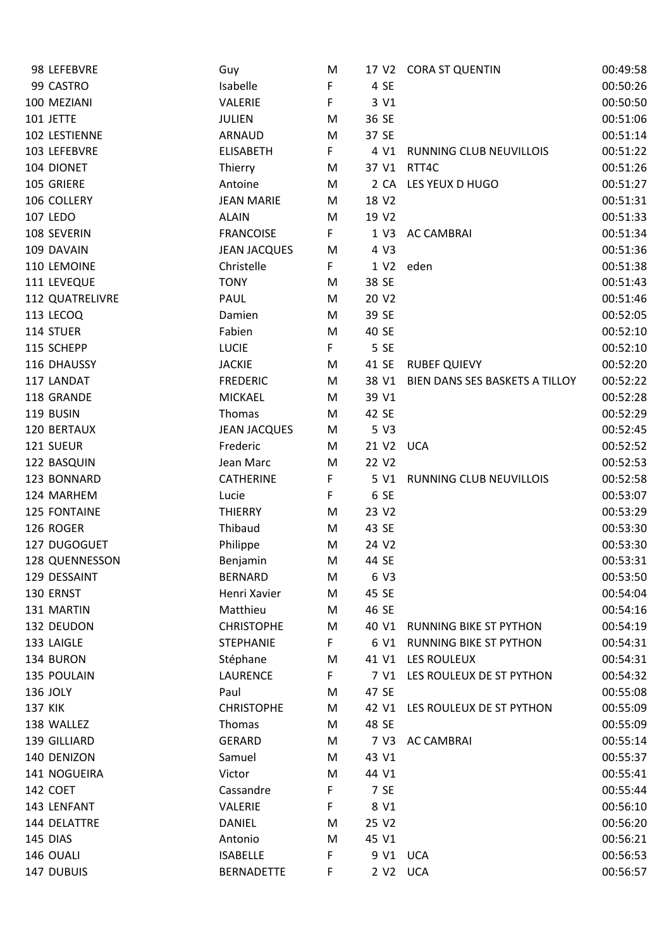|                | 98 LEFEBVRE     | Guy                 | M  |                   | 17 V2 CORA ST QUENTIN          | 00:49:58 |
|----------------|-----------------|---------------------|----|-------------------|--------------------------------|----------|
|                | 99 CASTRO       | Isabelle            | F  | 4 SE              |                                | 00:50:26 |
|                | 100 MEZIANI     | VALERIE             | F  | 3 V1              |                                | 00:50:50 |
|                | 101 JETTE       | <b>JULIEN</b>       | M  | 36 SE             |                                | 00:51:06 |
|                | 102 LESTIENNE   | ARNAUD              | M  | 37 SE             |                                | 00:51:14 |
|                | 103 LEFEBVRE    | <b>ELISABETH</b>    | F. | 4 V1              | RUNNING CLUB NEUVILLOIS        | 00:51:22 |
|                | 104 DIONET      | Thierry             | M  |                   | 37 V1 RTT4C                    | 00:51:26 |
|                | 105 GRIERE      | Antoine             | M  |                   | 2 CA LES YEUX D HUGO           | 00:51:27 |
|                | 106 COLLERY     | <b>JEAN MARIE</b>   | M  | 18 V2             |                                | 00:51:31 |
|                | <b>107 LEDO</b> | <b>ALAIN</b>        | M  | 19 V2             |                                | 00:51:33 |
|                | 108 SEVERIN     | <b>FRANCOISE</b>    | F  | 1 V3              | <b>AC CAMBRAI</b>              | 00:51:34 |
|                | 109 DAVAIN      | <b>JEAN JACQUES</b> | M  | 4 V3              |                                | 00:51:36 |
|                | 110 LEMOINE     | Christelle          | F  | 1 V <sub>2</sub>  | eden                           | 00:51:38 |
|                | 111 LEVEQUE     | <b>TONY</b>         | M  | 38 SE             |                                | 00:51:43 |
|                | 112 QUATRELIVRE | PAUL                | M  | 20 V <sub>2</sub> |                                | 00:51:46 |
|                | 113 LECOQ       | Damien              | M  | 39 SE             |                                | 00:52:05 |
|                | 114 STUER       | Fabien              | M  | 40 SE             |                                | 00:52:10 |
|                | 115 SCHEPP      | <b>LUCIE</b>        | F  | 5 SE              |                                | 00:52:10 |
|                | 116 DHAUSSY     | <b>JACKIE</b>       | M  | 41 SE             | <b>RUBEF QUIEVY</b>            | 00:52:20 |
|                | 117 LANDAT      | <b>FREDERIC</b>     | M  | 38 V1             | BIEN DANS SES BASKETS A TILLOY | 00:52:22 |
|                | 118 GRANDE      | <b>MICKAEL</b>      | M  | 39 V1             |                                | 00:52:28 |
|                | 119 BUSIN       | Thomas              | M  | 42 SE             |                                | 00:52:29 |
|                | 120 BERTAUX     | <b>JEAN JACQUES</b> | M  | 5 V3              |                                | 00:52:45 |
|                | 121 SUEUR       | Frederic            | M  | 21 V2 UCA         |                                | 00:52:52 |
|                | 122 BASQUIN     | Jean Marc           | M  | 22 V2             |                                | 00:52:53 |
|                | 123 BONNARD     | <b>CATHERINE</b>    | F  | 5 V1              | RUNNING CLUB NEUVILLOIS        | 00:52:58 |
|                | 124 MARHEM      | Lucie               | F  | 6 SE              |                                | 00:53:07 |
|                | 125 FONTAINE    | <b>THIERRY</b>      | M  | 23 V2             |                                | 00:53:29 |
|                | 126 ROGER       |                     |    |                   |                                | 00:53:30 |
|                |                 | Thibaud             | M  | 43 SE<br>24 V2    |                                |          |
|                | 127 DUGOGUET    | Philippe            | M  |                   |                                | 00:53:30 |
|                | 128 QUENNESSON  | Benjamin            | M  | 44 SE             |                                | 00:53:31 |
|                | 129 DESSAINT    | <b>BERNARD</b>      | M  | 6 V3              |                                | 00:53:50 |
|                | 130 ERNST       | Henri Xavier        | M  | 45 SE             |                                | 00:54:04 |
|                | 131 MARTIN      | Matthieu            | M  | 46 SE             |                                | 00:54:16 |
|                | 132 DEUDON      | <b>CHRISTOPHE</b>   | M  | 40 V1             | <b>RUNNING BIKE ST PYTHON</b>  | 00:54:19 |
|                | 133 LAIGLE      | <b>STEPHANIE</b>    | F  | 6 V1              | <b>RUNNING BIKE ST PYTHON</b>  | 00:54:31 |
|                | 134 BURON       | Stéphane            | M  | 41 V1             | LES ROULEUX                    | 00:54:31 |
|                | 135 POULAIN     | <b>LAURENCE</b>     | F  | 7 V1              | LES ROULEUX DE ST PYTHON       | 00:54:32 |
|                | 136 JOLY        | Paul                | M  | 47 SE             |                                | 00:55:08 |
| <b>137 KIK</b> |                 | <b>CHRISTOPHE</b>   | M  | 42 V1             | LES ROULEUX DE ST PYTHON       | 00:55:09 |
|                | 138 WALLEZ      | Thomas              | M  | 48 SE             |                                | 00:55:09 |
|                | 139 GILLIARD    | <b>GERARD</b>       | M  | 7 V3              | <b>AC CAMBRAI</b>              | 00:55:14 |
|                | 140 DENIZON     | Samuel              | M  | 43 V1             |                                | 00:55:37 |
|                | 141 NOGUEIRA    | Victor              | M  | 44 V1             |                                | 00:55:41 |
|                | 142 COET        | Cassandre           | F  | 7 SE              |                                | 00:55:44 |
|                | 143 LENFANT     | VALERIE             | F  | 8 V1              |                                | 00:56:10 |
|                | 144 DELATTRE    | DANIEL              | M  | 25 V2             |                                | 00:56:20 |
|                | 145 DIAS        | Antonio             | M  | 45 V1             |                                | 00:56:21 |
|                | 146 OUALI       | <b>ISABELLE</b>     | F  | 9 V1              | <b>UCA</b>                     | 00:56:53 |
|                | 147 DUBUIS      | <b>BERNADETTE</b>   | F. | 2 V2 UCA          |                                | 00:56:57 |